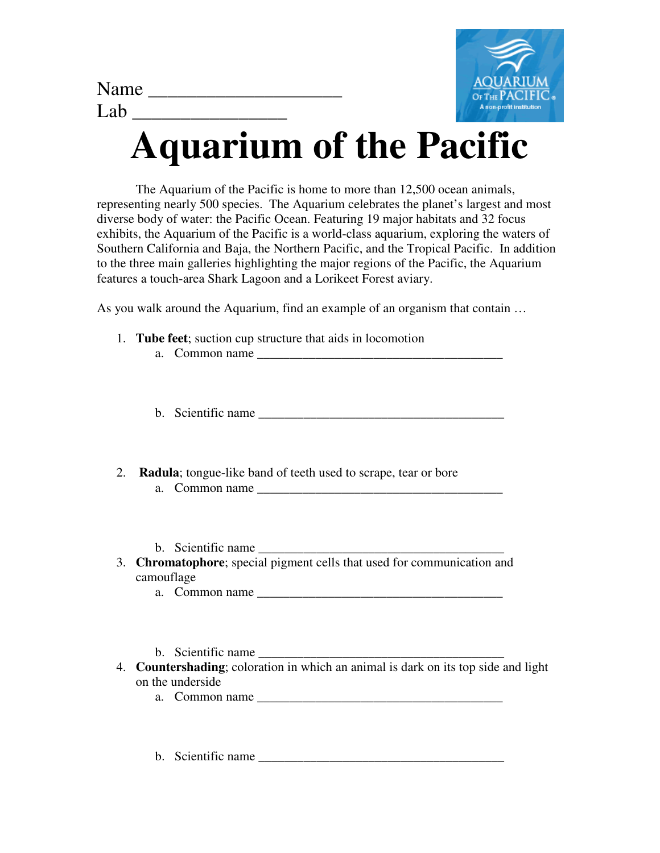| Name |  |        |  |
|------|--|--------|--|
| Lab  |  |        |  |
| $-$  |  | $\sim$ |  |



# **Aquarium of the Pacific**

The Aquarium of the Pacific is home to more than 12,500 ocean animals, representing nearly 500 species. The Aquarium celebrates the planet's largest and most diverse body of water: the Pacific Ocean. Featuring 19 major habitats and 32 focus exhibits, the Aquarium of the Pacific is a world-class aquarium, exploring the waters of Southern California and Baja, the Northern Pacific, and the Tropical Pacific. In addition to the three main galleries highlighting the major regions of the Pacific, the Aquarium features a touch-area Shark Lagoon and a Lorikeet Forest aviary.

As you walk around the Aquarium, find an example of an organism that contain …

| 1. | <b>Tube feet</b> ; suction cup structure that aids in locomotion                                                             |  |
|----|------------------------------------------------------------------------------------------------------------------------------|--|
|    |                                                                                                                              |  |
| 2. | Radula; tongue-like band of teeth used to scrape, tear or bore                                                               |  |
|    | b. Scientific name<br>3. Chromatophore; special pigment cells that used for communication and<br>camouflage                  |  |
|    | b. Scientific name<br>4. Countershading; coloration in which an animal is dark on its top side and light<br>on the underside |  |
|    |                                                                                                                              |  |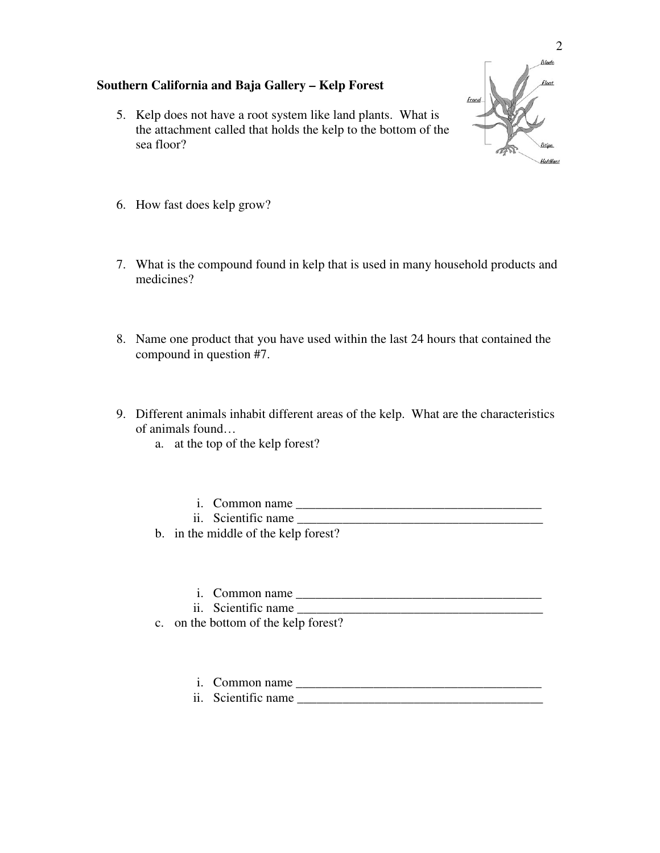## **Southern California and Baja Gallery – Kelp Forest**

5. Kelp does not have a root system like land plants. What is the attachment called that holds the kelp to the bottom of the sea floor?



- 6. How fast does kelp grow?
- 7. What is the compound found in kelp that is used in many household products and medicines?
- 8. Name one product that you have used within the last 24 hours that contained the compound in question #7.
- 9. Different animals inhabit different areas of the kelp. What are the characteristics of animals found…
	- a. at the top of the kelp forest?
		- i. Common name ii. Scientific name \_\_\_\_\_\_\_\_\_\_\_\_\_\_\_\_\_\_\_\_\_\_\_\_\_\_\_\_\_\_\_\_\_\_\_\_\_\_
	- b. in the middle of the kelp forest?
		- i. Common name
		- ii. Scientific name \_\_\_\_\_\_\_\_\_\_\_\_\_\_\_\_\_\_\_\_\_\_\_\_\_\_\_\_\_\_\_\_\_\_\_\_\_\_
	- c. on the bottom of the kelp forest?
		- i. Common name
		- ii. Scientific name \_\_\_\_\_\_\_\_\_\_\_\_\_\_\_\_\_\_\_\_\_\_\_\_\_\_\_\_\_\_\_\_\_\_\_\_\_\_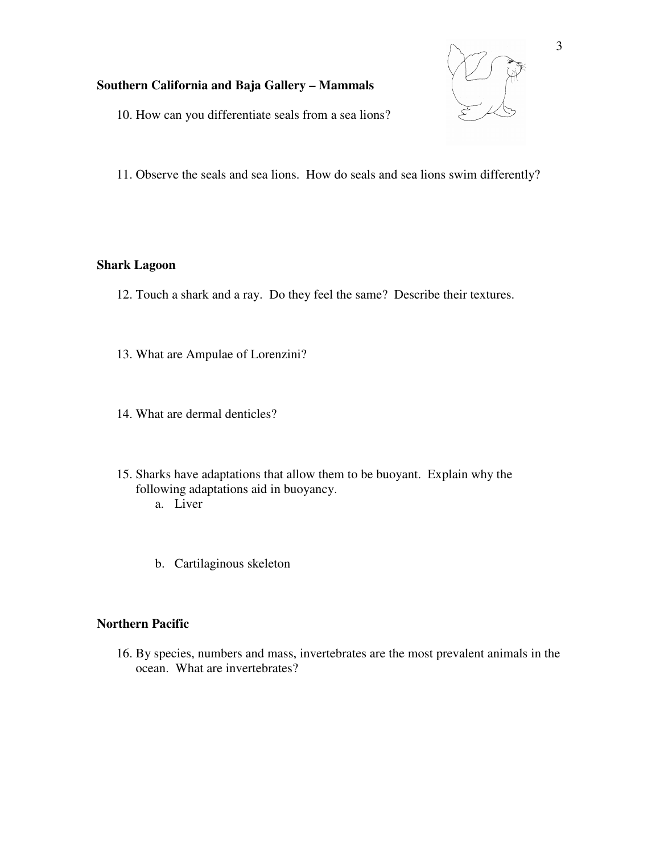

## **Southern California and Baja Gallery – Mammals**

- 10. How can you differentiate seals from a sea lions?
- 11. Observe the seals and sea lions. How do seals and sea lions swim differently?

## **Shark Lagoon**

- 12. Touch a shark and a ray. Do they feel the same? Describe their textures.
- 13. What are Ampulae of Lorenzini?
- 14. What are dermal denticles?
- 15. Sharks have adaptations that allow them to be buoyant. Explain why the following adaptations aid in buoyancy.
	- a. Liver
	- b. Cartilaginous skeleton

## **Northern Pacific**

16. By species, numbers and mass, invertebrates are the most prevalent animals in the ocean. What are invertebrates?